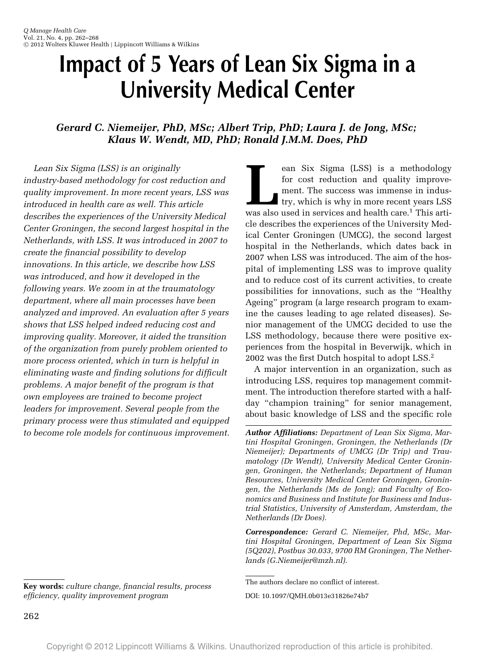# **Impact of 5 Years of Lean Six Sigma in a University Medical Center**

## *Gerard C. Niemeijer, PhD, MSc; Albert Trip, PhD; Laura J. de Jong, MSc; Klaus W. Wendt, MD, PhD; Ronald J.M.M. Does, PhD*

*Lean Six Sigma (LSS) is an originally industry-based methodology for cost reduction and quality improvement. In more recent years, LSS was introduced in health care as well. This article describes the experiences of the University Medical Center Groningen, the second largest hospital in the Netherlands, with LSS. It was introduced in 2007 to create the financial possibility to develop innovations. In this article, we describe how LSS was introduced, and how it developed in the following years. We zoom in at the traumatology department, where all main processes have been analyzed and improved. An evaluation after 5 years shows that LSS helped indeed reducing cost and improving quality. Moreover, it aided the transition of the organization from purely problem oriented to more process oriented, which in turn is helpful in eliminating waste and finding solutions for difficult problems. A major benefit of the program is that own employees are trained to become project leaders for improvement. Several people from the primary process were thus stimulated and equipped to become role models for continuous improvement.*

**Key words:** *culture change, financial results, process efficiency, quality improvement program*

**LEAN Sigma (LSS)** is a methodology for cost reduction and quality improvement. The success was immense in industry, which is why in more recent years LSS was also used in services and health care.<sup>1</sup> This artifor cost reduction and quality improvement. The success was immense in industry, which is why in more recent years LSS cle describes the experiences of the University Medical Center Groningen (UMCG), the second largest hospital in the Netherlands, which dates back in 2007 when LSS was introduced. The aim of the hospital of implementing LSS was to improve quality and to reduce cost of its current activities, to create possibilities for innovations, such as the "Healthy Ageing" program (a large research program to examine the causes leading to age related diseases). Senior management of the UMCG decided to use the LSS methodology, because there were positive experiences from the hospital in Beverwijk, which in 2002 was the first Dutch hospital to adopt LSS.<sup>2</sup>

A major intervention in an organization, such as introducing LSS, requires top management commitment. The introduction therefore started with a halfday "champion training" for senior management, about basic knowledge of LSS and the specific role

*Author Affiliations: Department of Lean Six Sigma, Martini Hospital Groningen, Groningen, the Netherlands (Dr Niemeijer); Departments of UMCG (Dr Trip) and Traumatology (Dr Wendt), University Medical Center Groningen, Groningen, the Netherlands; Department of Human Resources, University Medical Center Groningen, Groningen, the Netherlands (Ms de Jong); and Faculty of Economics and Business and Institute for Business and Industrial Statistics, University of Amsterdam, Amsterdam, the Netherlands (Dr Does).*

*Correspondence: Gerard C. Niemeijer, Phd, MSc, Martini Hospital Groningen, Department of Lean Six Sigma (5Q202), Postbus 30.033, 9700 RM Groningen, The Netherlands (G.Niemeijer@mzh.nl).*

The authors declare no conflict of interest.

DOI: 10.1097/QMH.0b013e31826e74b7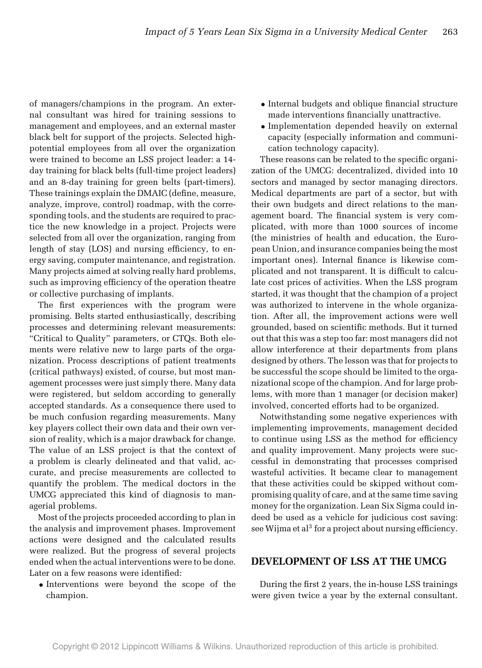of managers/champions in the program. An external consultant was hired for training sessions to management and employees, and an external master black belt for support of the projects. Selected highpotential employees from all over the organization were trained to become an LSS project leader: a 14 day training for black belts (full-time project leaders) and an 8-day training for green belts (part-timers). These trainings explain the DMAIC (define, measure, analyze, improve, control) roadmap, with the corresponding tools, and the students are required to practice the new knowledge in a project. Projects were selected from all over the organization, ranging from length of stay (LOS) and nursing efficiency, to energy saving, computer maintenance, and registration. Many projects aimed at solving really hard problems, such as improving efficiency of the operation theatre or collective purchasing of implants.

The first experiences with the program were promising. Belts started enthusiastically, describing processes and determining relevant measurements: "Critical to Quality" parameters, or CTQs. Both elements were relative new to large parts of the organization. Process descriptions of patient treatments (critical pathways) existed, of course, but most management processes were just simply there. Many data were registered, but seldom according to generally accepted standards. As a consequence there used to be much confusion regarding measurements. Many key players collect their own data and their own version of reality, which is a major drawback for change. The value of an LSS project is that the context of a problem is clearly delineated and that valid, accurate, and precise measurements are collected to quantify the problem. The medical doctors in the UMCG appreciated this kind of diagnosis to managerial problems.

Most of the projects proceeded according to plan in the analysis and improvement phases. Improvement actions were designed and the calculated results were realized. But the progress of several projects ended when the actual interventions were to be done. Later on a few reasons were identified:

• Interventions were beyond the scope of the champion.

- Internal budgets and oblique financial structure made interventions financially unattractive.
- Implementation depended heavily on external capacity (especially information and communication technology capacity).

These reasons can be related to the specific organization of the UMCG: decentralized, divided into 10 sectors and managed by sector managing directors. Medical departments are part of a sector, but with their own budgets and direct relations to the management board. The financial system is very complicated, with more than 1000 sources of income (the ministries of health and education, the European Union, and insurance companies being the most important ones). Internal finance is likewise complicated and not transparent. It is difficult to calculate cost prices of activities. When the LSS program started, it was thought that the champion of a project was authorized to intervene in the whole organization. After all, the improvement actions were well grounded, based on scientific methods. But it turned out that this was a step too far: most managers did not allow interference at their departments from plans designed by others. The lesson was that for projects to be successful the scope should be limited to the organizational scope of the champion. And for large problems, with more than 1 manager (or decision maker) involved, concerted efforts had to be organized.

Notwithstanding some negative experiences with implementing improvements, management decided to continue using LSS as the method for efficiency and quality improvement. Many projects were successful in demonstrating that processes comprised wasteful activities. It became clear to management that these activities could be skipped without compromising quality of care, and at the same time saving money for the organization. Lean Six Sigma could indeed be used as a vehicle for judicious cost saving: see Wijma et al<sup>3</sup> for a project about nursing efficiency.

## **DEVELOPMENT OF LSS AT THE UMCG**

During the first 2 years, the in-house LSS trainings were given twice a year by the external consultant.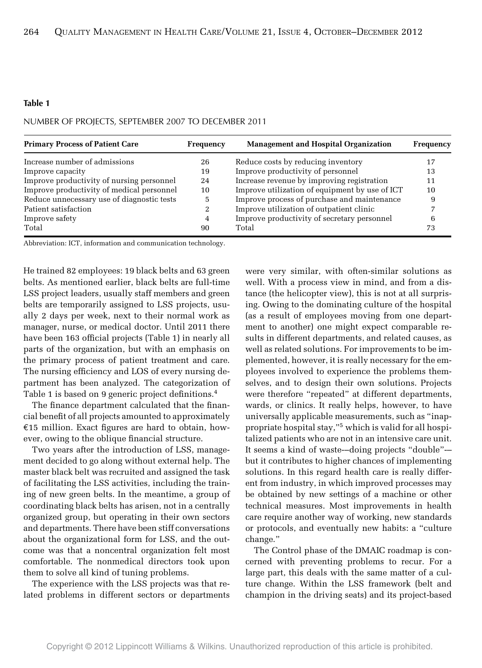#### **Table 1**

#### NUMBER OF PROJECTS, SEPTEMBER 2007 TO DECEMBER 2011

| <b>Primary Process of Patient Care</b>     | Frequency | <b>Management and Hospital Organization</b>    | Frequency |
|--------------------------------------------|-----------|------------------------------------------------|-----------|
| Increase number of admissions              | 26        | Reduce costs by reducing inventory             |           |
| Improve capacity                           | 19        | Improve productivity of personnel              | 13        |
| Improve productivity of nursing personnel  | 24        | Increase revenue by improving registration     | 11        |
| Improve productivity of medical personnel  | 10        | Improve utilization of equipment by use of ICT | 10        |
| Reduce unnecessary use of diagnostic tests | 5         | Improve process of purchase and maintenance    |           |
| Patient satisfaction                       | 2         | Improve utilization of outpatient clinic       |           |
| Improve safety                             | 4         | Improve productivity of secretary personnel    |           |
| Total                                      | 90        | Total                                          | 73        |

Abbreviation: ICT, information and communication technology.

He trained 82 employees: 19 black belts and 63 green belts. As mentioned earlier, black belts are full-time LSS project leaders, usually staff members and green belts are temporarily assigned to LSS projects, usually 2 days per week, next to their normal work as manager, nurse, or medical doctor. Until 2011 there have been 163 official projects (Table 1) in nearly all parts of the organization, but with an emphasis on the primary process of patient treatment and care. The nursing efficiency and LOS of every nursing department has been analyzed. The categorization of Table 1 is based on 9 generic project definitions.<sup>4</sup>

The finance department calculated that the financial benefit of all projects amounted to approximately €15 million. Exact figures are hard to obtain, however, owing to the oblique financial structure.

Two years after the introduction of LSS, management decided to go along without external help. The master black belt was recruited and assigned the task of facilitating the LSS activities, including the training of new green belts. In the meantime, a group of coordinating black belts has arisen, not in a centrally organized group, but operating in their own sectors and departments. There have been stiff conversations about the organizational form for LSS, and the outcome was that a noncentral organization felt most comfortable. The nonmedical directors took upon them to solve all kind of tuning problems.

The experience with the LSS projects was that related problems in different sectors or departments

were very similar, with often-similar solutions as well. With a process view in mind, and from a distance (the helicopter view), this is not at all surprising. Owing to the dominating culture of the hospital (as a result of employees moving from one department to another) one might expect comparable results in different departments, and related causes, as well as related solutions. For improvements to be implemented, however, it is really necessary for the employees involved to experience the problems themselves, and to design their own solutions. Projects were therefore "repeated" at different departments, wards, or clinics. It really helps, however, to have universally applicable measurements, such as "inappropriate hospital stay,"5 which is valid for all hospitalized patients who are not in an intensive care unit. It seems a kind of waste-–doing projects "double"-– but it contributes to higher chances of implementing solutions. In this regard health care is really different from industry, in which improved processes may be obtained by new settings of a machine or other technical measures. Most improvements in health care require another way of working, new standards or protocols, and eventually new habits: a "culture change."

The Control phase of the DMAIC roadmap is concerned with preventing problems to recur. For a large part, this deals with the same matter of a culture change. Within the LSS framework (belt and champion in the driving seats) and its project-based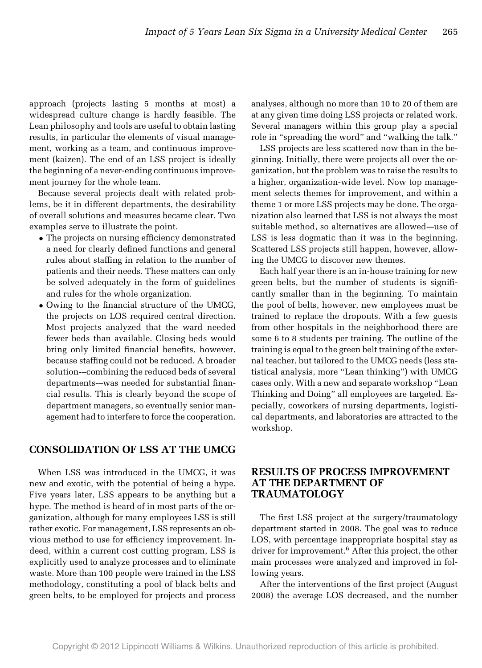approach (projects lasting 5 months at most) a widespread culture change is hardly feasible. The Lean philosophy and tools are useful to obtain lasting results, in particular the elements of visual management, working as a team, and continuous improvement (kaizen). The end of an LSS project is ideally the beginning of a never-ending continuous improvement journey for the whole team.

Because several projects dealt with related problems, be it in different departments, the desirability of overall solutions and measures became clear. Two examples serve to illustrate the point.

- The projects on nursing efficiency demonstrated a need for clearly defined functions and general rules about staffing in relation to the number of patients and their needs. These matters can only be solved adequately in the form of guidelines and rules for the whole organization.
- Owing to the financial structure of the UMCG, the projects on LOS required central direction. Most projects analyzed that the ward needed fewer beds than available. Closing beds would bring only limited financial benefits, however, because staffing could not be reduced. A broader solution-–combining the reduced beds of several departments-–was needed for substantial financial results. This is clearly beyond the scope of department managers, so eventually senior management had to interfere to force the cooperation.

## **CONSOLIDATION OF LSS AT THE UMCG**

When LSS was introduced in the UMCG, it was new and exotic, with the potential of being a hype. Five years later, LSS appears to be anything but a hype. The method is heard of in most parts of the organization, although for many employees LSS is still rather exotic. For management, LSS represents an obvious method to use for efficiency improvement. Indeed, within a current cost cutting program, LSS is explicitly used to analyze processes and to eliminate waste. More than 100 people were trained in the LSS methodology, constituting a pool of black belts and green belts, to be employed for projects and process analyses, although no more than 10 to 20 of them are at any given time doing LSS projects or related work. Several managers within this group play a special role in "spreading the word" and "walking the talk."

LSS projects are less scattered now than in the beginning. Initially, there were projects all over the organization, but the problem was to raise the results to a higher, organization-wide level. Now top management selects themes for improvement, and within a theme 1 or more LSS projects may be done. The organization also learned that LSS is not always the most suitable method, so alternatives are allowed-–use of LSS is less dogmatic than it was in the beginning. Scattered LSS projects still happen, however, allowing the UMCG to discover new themes.

Each half year there is an in-house training for new green belts, but the number of students is significantly smaller than in the beginning. To maintain the pool of belts, however, new employees must be trained to replace the dropouts. With a few guests from other hospitals in the neighborhood there are some 6 to 8 students per training. The outline of the training is equal to the green belt training of the external teacher, but tailored to the UMCG needs (less statistical analysis, more "Lean thinking") with UMCG cases only. With a new and separate workshop "Lean Thinking and Doing" all employees are targeted. Especially, coworkers of nursing departments, logistical departments, and laboratories are attracted to the workshop.

## **RESULTS OF PROCESS IMPROVEMENT AT THE DEPARTMENT OF TRAUMATOLOGY**

The first LSS project at the surgery/traumatology department started in 2008. The goal was to reduce LOS, with percentage inappropriate hospital stay as driver for improvement.<sup>6</sup> After this project, the other main processes were analyzed and improved in following years.

After the interventions of the first project (August 2008) the average LOS decreased, and the number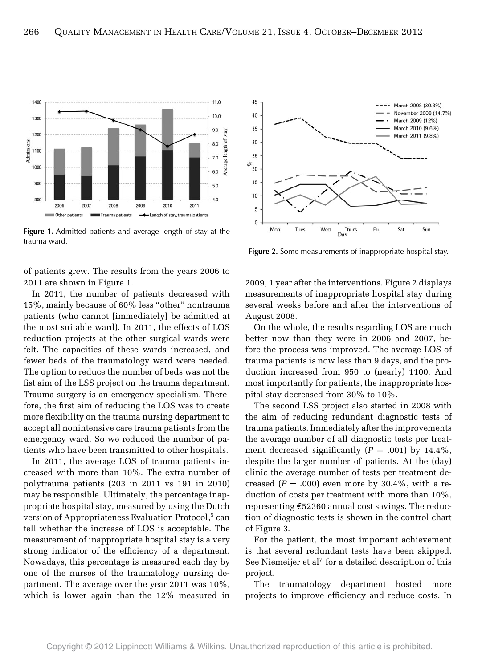

**Figure 1.** Admitted patients and average length of stay at the trauma ward.

of patients grew. The results from the years 2006 to 2011 are shown in Figure 1.

In 2011, the number of patients decreased with 15%, mainly because of 60% less "other" nontrauma patients (who cannot [immediately] be admitted at the most suitable ward). In 2011, the effects of LOS reduction projects at the other surgical wards were felt. The capacities of these wards increased, and fewer beds of the traumatology ward were needed. The option to reduce the number of beds was not the fist aim of the LSS project on the trauma department. Trauma surgery is an emergency specialism. Therefore, the first aim of reducing the LOS was to create more flexibility on the trauma nursing department to accept all nonintensive care trauma patients from the emergency ward. So we reduced the number of patients who have been transmitted to other hospitals.

In 2011, the average LOS of trauma patients increased with more than 10%. The extra number of polytrauma patients (203 in 2011 vs 191 in 2010) may be responsible. Ultimately, the percentage inappropriate hospital stay, measured by using the Dutch version of Appropriateness Evaluation Protocol,<sup>5</sup> can tell whether the increase of LOS is acceptable. The measurement of inappropriate hospital stay is a very strong indicator of the efficiency of a department. Nowadays, this percentage is measured each day by one of the nurses of the traumatology nursing department. The average over the year 2011 was 10%, which is lower again than the 12% measured in



**Figure 2.** Some measurements of inappropriate hospital stay.

2009, 1 year after the interventions. Figure 2 displays measurements of inappropriate hospital stay during several weeks before and after the interventions of August 2008.

On the whole, the results regarding LOS are much better now than they were in 2006 and 2007, before the process was improved. The average LOS of trauma patients is now less than 9 days, and the production increased from 950 to (nearly) 1100. And most importantly for patients, the inappropriate hospital stay decreased from 30% to 10%.

The second LSS project also started in 2008 with the aim of reducing redundant diagnostic tests of trauma patients. Immediately after the improvements the average number of all diagnostic tests per treatment decreased significantly  $(P = .001)$  by 14.4%, despite the larger number of patients. At the (day) clinic the average number of tests per treatment decreased  $(P = .000)$  even more by 30.4%, with a reduction of costs per treatment with more than 10%, representing €52360 annual cost savings. The reduction of diagnostic tests is shown in the control chart of Figure 3.

For the patient, the most important achievement is that several redundant tests have been skipped. See Niemeijer et al<sup>7</sup> for a detailed description of this project.

The traumatology department hosted more projects to improve efficiency and reduce costs. In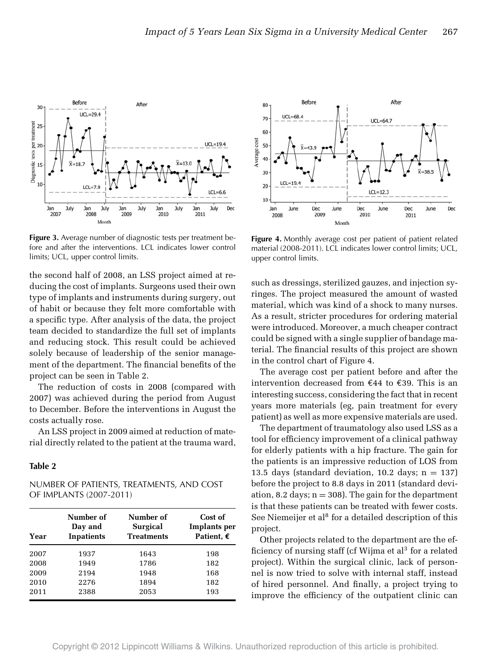

**Figure 3.** Average number of diagnostic tests per treatment before and after the interventions. LCL indicates lower control limits; UCL, upper control limits.

the second half of 2008, an LSS project aimed at reducing the cost of implants. Surgeons used their own type of implants and instruments during surgery, out of habit or because they felt more comfortable with a specific type. After analysis of the data, the project team decided to standardize the full set of implants and reducing stock. This result could be achieved solely because of leadership of the senior management of the department. The financial benefits of the project can be seen in Table 2.

The reduction of costs in 2008 (compared with 2007) was achieved during the period from August to December. Before the interventions in August the costs actually rose.

An LSS project in 2009 aimed at reduction of material directly related to the patient at the trauma ward,

#### **Table 2**

| Year | Number of<br>Day and<br><b>Inpatients</b> | Number of<br><b>Surgical</b><br><b>Treatments</b> | Cost of<br><b>Implants</b> per<br>Patient, $\epsilon$ |
|------|-------------------------------------------|---------------------------------------------------|-------------------------------------------------------|
| 2007 | 1937                                      | 1643                                              | 198                                                   |
| 2008 | 1949                                      | 1786                                              | 182                                                   |
| 2009 | 2194                                      | 1948                                              | 168                                                   |
| 2010 | 2276                                      | 1894                                              | 182                                                   |
| 2011 | 2388                                      | 2053                                              | 193                                                   |

NUMBER OF PATIENTS, TREATMENTS, AND COST OF IMPLANTS (2007-2011)



Figure 4. Monthly average cost per patient of patient related material (2008-2011). LCL indicates lower control limits; UCL, upper control limits.

such as dressings, sterilized gauzes, and injection syringes. The project measured the amount of wasted material, which was kind of a shock to many nurses. As a result, stricter procedures for ordering material were introduced. Moreover, a much cheaper contract could be signed with a single supplier of bandage material. The financial results of this project are shown in the control chart of Figure 4.

The average cost per patient before and after the intervention decreased from €44 to €39. This is an interesting success, considering the fact that in recent years more materials (eg, pain treatment for every patient) as well as more expensive materials are used.

The department of traumatology also used LSS as a tool for efficiency improvement of a clinical pathway for elderly patients with a hip fracture. The gain for the patients is an impressive reduction of LOS from 13.5 days (standard deviation, 10.2 days;  $n = 137$ ) before the project to 8.8 days in 2011 (standard deviation, 8.2 days;  $n = 308$ . The gain for the department is that these patients can be treated with fewer costs. See Niemeijer et al<sup>8</sup> for a detailed description of this project.

Other projects related to the department are the efficiency of nursing staff (cf Wijma et al<sup>3</sup> for a related project). Within the surgical clinic, lack of personnel is now tried to solve with internal staff, instead of hired personnel. And finally, a project trying to improve the efficiency of the outpatient clinic can